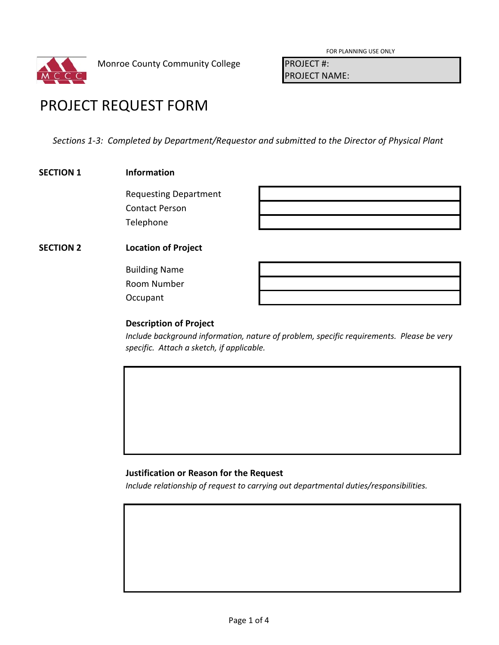

FOR PLANNING USE ONLY

PROJECT NAME:

# PROJECT REQUEST FORM

*Sections 1-3: Completed by Department/Requestor and submitted to the Director of Physical Plant*

### **SECTION 1 Information**

Requesting Department Contact Person Telephone

# **SECTION 2 Location of Project**

Building Name Room Number **Occupant** 

## **Description of Project**

*Include background information, nature of problem, specific requirements. Please be very specific. Attach a sketch, if applicable.*

## **Justification or Reason for the Request**

*Include relationship of request to carrying out departmental duties/responsibilities.*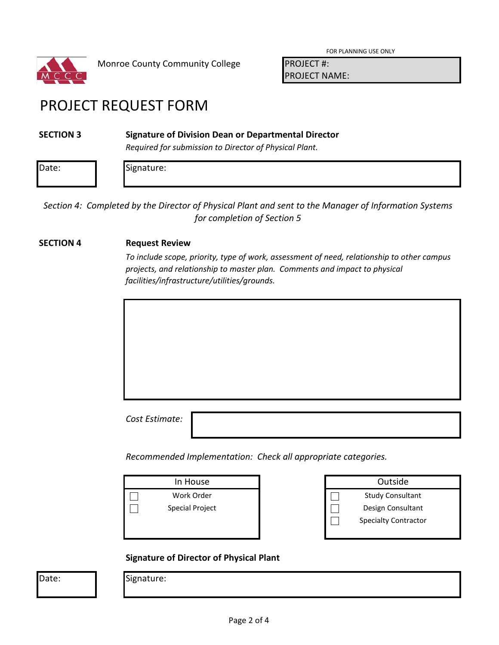

FOR PLANNING USE ONLY

PROJECT NAME:

# PROJECT REQUEST FORM

### **SECTION 3 Signature of Division Dean or Departmental Director**

*Required for submission to Director of Physical Plant.*

| D <sub>2</sub><br>Dale. | .<br>$\cdots$<br>ີ |  |  |
|-------------------------|--------------------|--|--|
|                         |                    |  |  |

*Section 4: Completed by the Director of Physical Plant and sent to the Manager of Information Systems for completion of Section 5*

### **SECTION 4 Request Review**

*To include scope, priority, type of work, assessment of need, relationship to other campus projects, and relationship to master plan. Comments and impact to physical facilities/infrastructure/utilities/grounds.*

*Cost Estimate:*

*Recommended Implementation: Check all appropriate categories.*

In House  $\Box$ Work Order  $\Box$ Special Project

| Outside                     |  |
|-----------------------------|--|
| <b>Study Consultant</b>     |  |
| Design Consultant           |  |
| <b>Specialty Contractor</b> |  |
|                             |  |

### **Signature of Director of Physical Plant**

Date: | Signature: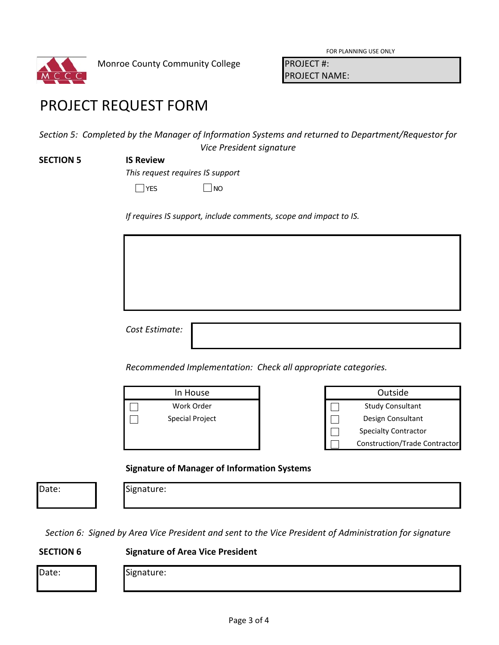

FOR PLANNING USE ONLY

PROJECT NAME:

# PROJECT REQUEST FORM

*Section 5: Completed by the Manager of Information Systems and returned to Department/Requestor for Vice President signature*

#### **SECTION 5 IS Review**

*This request requires IS support*

 $\Box$  NO

*If requires IS support, include comments, scope and impact to IS.*

*Cost Estimate:*

*Recommended Implementation: Check all appropriate categories.*

| In House        |  |
|-----------------|--|
| Work Order      |  |
| Special Project |  |
|                 |  |

| In House        |  | Outside                              |
|-----------------|--|--------------------------------------|
| Work Order      |  | <b>Study Consultant</b>              |
| Special Project |  | Design Consultant                    |
|                 |  | <b>Specialty Contractor</b>          |
|                 |  | <b>Construction/Trade Contractor</b> |
|                 |  |                                      |

## **Signature of Manager of Information Systems**

Date: **Signature:** 

*Section 6: Signed by Area Vice President and sent to the Vice President of Administration for signature*

## **SECTION 6 Signature of Area Vice President**

| ۹ |
|---|

Signature: